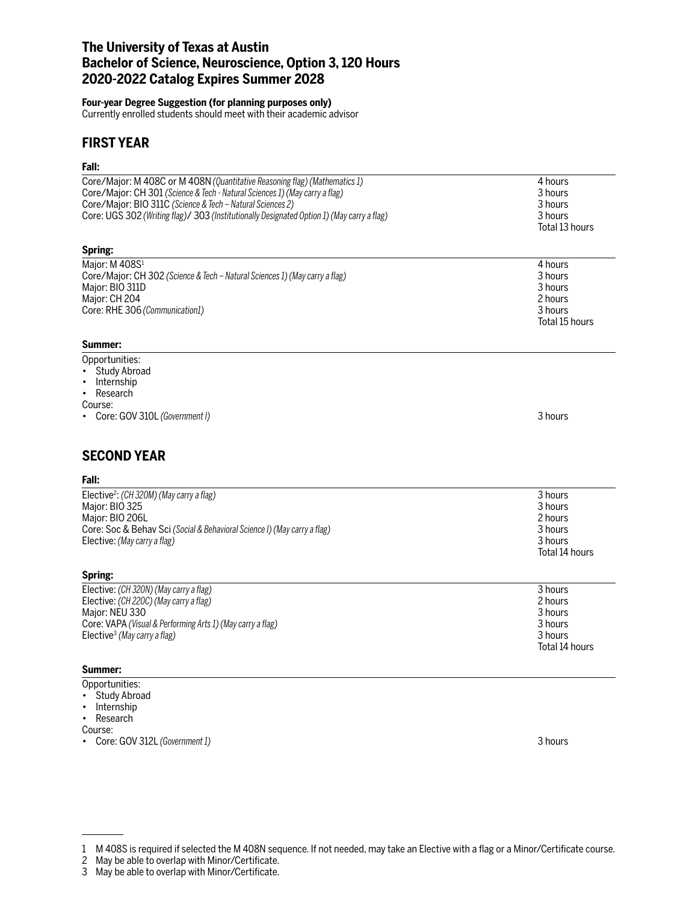## **The University of Texas at Austin Bachelor of Science, Neuroscience, Option 3, 120 Hours 2020-2022 Catalog Expires Summer 2028**

#### **Four-year Degree Suggestion (for planning purposes only)**

Currently enrolled students should meet with their academic advisor

### **FIRST YEAR**

### **Fall:**

| ган.                                                                                       |                |
|--------------------------------------------------------------------------------------------|----------------|
| Core/Major: M 408C or M 408N (Quantitative Reasoning flag) (Mathematics 1)                 | 4 hours        |
| Core/Major: CH 301 (Science & Tech - Natural Sciences 1) (May carry a flag)                | 3 hours        |
| Core/Major: BIO 311C (Science & Tech - Natural Sciences 2)                                 | 3 hours        |
| Core: UGS 302 (Writing flag)/ 303 (Institutionally Designated Option 1) (May carry a flag) | 3 hours        |
|                                                                                            | Total 13 hours |
|                                                                                            |                |
| Spring:                                                                                    |                |
| Major: M 408S <sup>1</sup>                                                                 | 4 hours        |
| Core/Major: CH 302 (Science & Tech - Natural Sciences 1) (May carry a flag)                | 3 hours        |
| Major: BIO 311D                                                                            | 3 hours        |
| Major: CH 204                                                                              | 2 hours        |
| Core: RHE 306 (Communication1)                                                             | 3 hours        |
|                                                                                            | Total 15 hours |
|                                                                                            |                |
| Summer:                                                                                    |                |
| Opportunities:<br><b>Study Abroad</b>                                                      |                |
| Internship                                                                                 |                |
| Research<br>$\bullet$                                                                      |                |
| Course:                                                                                    |                |
| Core: GOV 310L (Government I)                                                              | 3 hours        |
|                                                                                            |                |
|                                                                                            |                |
| <b>SECOND YEAR</b>                                                                         |                |
| Fall:                                                                                      |                |
| Elective <sup>2</sup> : (CH 320M) (May carry a flag)                                       | 3 hours        |
| Major: BIO 325                                                                             | 3 hours        |
| Major: BIO 206L                                                                            | 2 hours        |
| Core: Soc & Behav Sci (Social & Behavioral Science I) (May carry a flag)                   | 3 hours        |
| Elective: (May carry a flag)                                                               | 3 hours        |
|                                                                                            | Total 14 hours |
| Spring:                                                                                    |                |
| Elective: (CH 320N) (May carry a flag)                                                     | 3 hours        |
| Elective: (CH 220C) (May carry a flag)                                                     | 2 hours        |
| Major: NEU 330                                                                             | 3 hours        |
| Core: VAPA (Visual & Performing Arts 1) (May carry a flag)                                 | 3 hours        |
| Elective <sup>3</sup> (May carry a flag)                                                   | 3 hours        |
|                                                                                            | Total 14 hours |
|                                                                                            |                |
| Summer:                                                                                    |                |
| Opportunities:<br>Study Abroad                                                             |                |
|                                                                                            |                |

- Internship
- Research
- Course:
- Core: GOV 312L *(Government 1)* 3 hours

<sup>1</sup> M 408S is required if selected the M 408N sequence. If not needed, may take an Elective with a flag or a Minor/Certificate course.

<sup>2</sup> May be able to overlap with Minor/Certificate.

<sup>3</sup> May be able to overlap with Minor/Certificate.